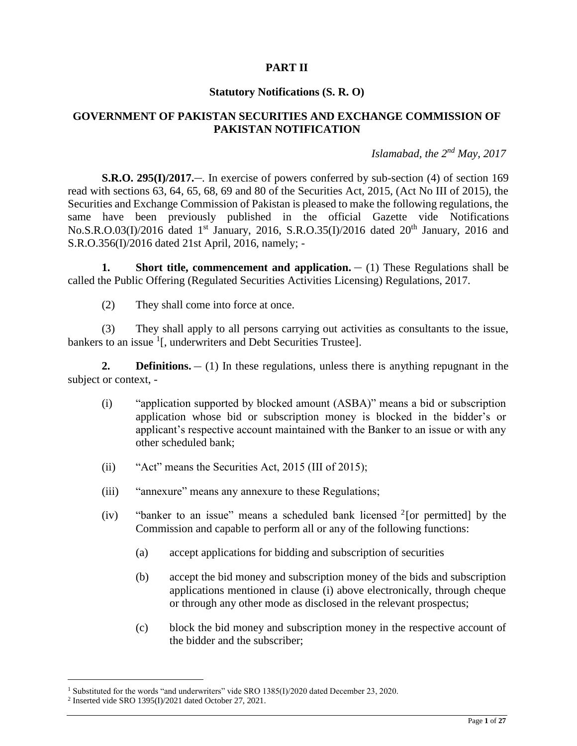## **PART II**

### **Statutory Notifications (S. R. O)**

### **GOVERNMENT OF PAKISTAN SECURITIES AND EXCHANGE COMMISSION OF PAKISTAN NOTIFICATION**

### *Islamabad, the 2nd May, 2017*

**S.R.O. 295(I)/2017.**— In exercise of powers conferred by sub-section (4) of section 169 read with sections 63, 64, 65, 68, 69 and 80 of the Securities Act, 2015, (Act No III of 2015), the Securities and Exchange Commission of Pakistan is pleased to make the following regulations, the same have been previously published in the official Gazette vide Notifications No.S.R.O.03(I)/2016 dated 1<sup>st</sup> January, 2016, S.R.O.35(I)/2016 dated 20<sup>th</sup> January, 2016 and S.R.O.356(I)/2016 dated 21st April, 2016, namely; -

**1. Short title, commencement and application.**  $- (1)$  These Regulations shall be called the Public Offering (Regulated Securities Activities Licensing) Regulations, 2017.

(2) They shall come into force at once.

(3) They shall apply to all persons carrying out activities as consultants to the issue, bankers to an issue <sup>1</sup>[, underwriters and Debt Securities Trustee].

**2. Definitions.**  $- (1)$  In these regulations, unless there is anything repugnant in the subject or context, -

- (i) "application supported by blocked amount (ASBA)" means a bid or subscription application whose bid or subscription money is blocked in the bidder's or applicant's respective account maintained with the Banker to an issue or with any other scheduled bank;
- (ii) "Act" means the Securities Act, 2015 (III of 2015);
- (iii) "annexure" means any annexure to these Regulations;
- (iv) "banker to an issue" means a scheduled bank licensed  $2$  [or permitted] by the Commission and capable to perform all or any of the following functions:
	- (a) accept applications for bidding and subscription of securities
	- (b) accept the bid money and subscription money of the bids and subscription applications mentioned in clause (i) above electronically, through cheque or through any other mode as disclosed in the relevant prospectus;
	- (c) block the bid money and subscription money in the respective account of the bidder and the subscriber;

<sup>&</sup>lt;sup>1</sup> Substituted for the words "and underwriters" vide SRO 1385(I)/2020 dated December 23, 2020.

<sup>2</sup> Inserted vide SRO 1395(I)/2021 dated October 27, 2021.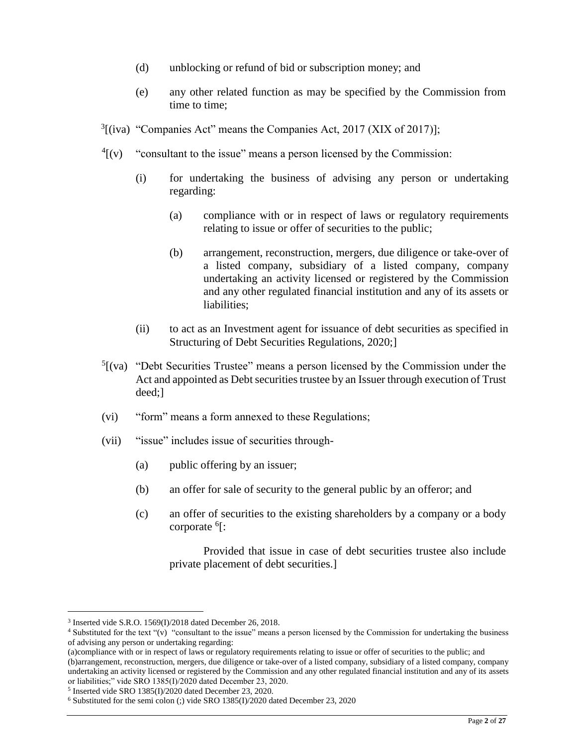- (d) unblocking or refund of bid or subscription money; and
- (e) any other related function as may be specified by the Commission from time to time;
- $3$ [(iva) "Companies Act" means the Companies Act, 2017 (XIX of 2017)];
- $^{4}$ [(v) "consultant to the issue" means a person licensed by the Commission:
	- (i) for undertaking the business of advising any person or undertaking regarding:
		- (a) compliance with or in respect of laws or regulatory requirements relating to issue or offer of securities to the public;
		- (b) arrangement, reconstruction, mergers, due diligence or take-over of a listed company, subsidiary of a listed company, company undertaking an activity licensed or registered by the Commission and any other regulated financial institution and any of its assets or liabilities;
	- (ii) to act as an Investment agent for issuance of debt securities as specified in Structuring of Debt Securities Regulations, 2020;]
- $<sup>5</sup>$ [(va) "Debt Securities Trustee" means a person licensed by the Commission under the</sup> Act and appointed as Debt securities trustee by an Issuer through execution of Trust deed;]
- (vi) "form" means a form annexed to these Regulations;
- (vii) "issue" includes issue of securities through-
	- (a) public offering by an issuer;
	- (b) an offer for sale of security to the general public by an offeror; and
	- (c) an offer of securities to the existing shareholders by a company or a body corporate <sup>6</sup>[:

Provided that issue in case of debt securities trustee also include private placement of debt securities.]

<sup>3</sup> Inserted vide S.R.O. 1569(I)/2018 dated December 26, 2018.

<sup>4</sup> Substituted for the text "(v) "consultant to the issue" means a person licensed by the Commission for undertaking the business of advising any person or undertaking regarding:

<sup>(</sup>a)compliance with or in respect of laws or regulatory requirements relating to issue or offer of securities to the public; and (b)arrangement, reconstruction, mergers, due diligence or take-over of a listed company, subsidiary of a listed company, company undertaking an activity licensed or registered by the Commission and any other regulated financial institution and any of its assets or liabilities;" vide SRO 1385(I)/2020 dated December 23, 2020.

<sup>5</sup> Inserted vide SRO 1385(I)/2020 dated December 23, 2020.

<sup>6</sup> Substituted for the semi colon (;) vide SRO 1385(I)/2020 dated December 23, 2020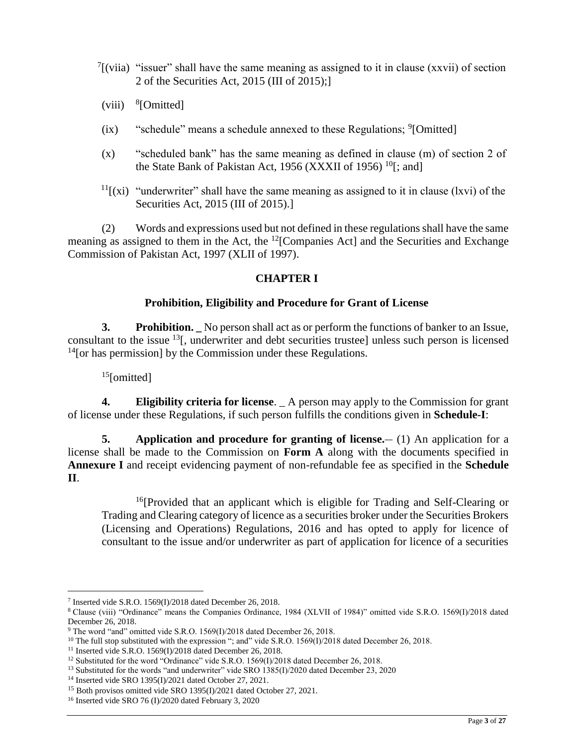- $\int$ [(viia) "issuer" shall have the same meaning as assigned to it in clause (xxvii) of section 2 of the Securities Act, 2015 (III of 2015);]
- $(viii)$  <sup>8</sup>[Omitted]
- $(ix)$  "schedule" means a schedule annexed to these Regulations;  $^{9}$ [Omitted]
- (x) "scheduled bank" has the same meaning as defined in clause (m) of section 2 of the State Bank of Pakistan Act, 1956 (XXXII of 1956)  $^{10}$ [; and]
- $<sup>11</sup>$ [(xi) "underwriter" shall have the same meaning as assigned to it in clause (lxvi) of the</sup> Securities Act, 2015 (III of 2015).]

(2) Words and expressions used but not defined in these regulations shall have the same meaning as assigned to them in the Act, the  $^{12}$ [Companies Act] and the Securities and Exchange Commission of Pakistan Act, 1997 (XLII of 1997).

## **CHAPTER I**

### **Prohibition, Eligibility and Procedure for Grant of License**

**3. Prohibition. \_** No person shall act as or perform the functions of banker to an Issue, consultant to the issue <sup>13</sup>[, underwriter and debt securities trustee] unless such person is licensed  $<sup>14</sup>$ [or has permission] by the Commission under these Regulations.</sup>

 $15$ [omitted]

 $\overline{a}$ 

**4. Eligibility criteria for license**. \_ A person may apply to the Commission for grant of license under these Regulations, if such person fulfills the conditions given in **Schedule-I**:

**5. Application and procedure for granting of license.** (1) An application for a license shall be made to the Commission on **Form A** along with the documents specified in **Annexure I** and receipt evidencing payment of non-refundable fee as specified in the **Schedule II**.

<sup>16</sup>[Provided that an applicant which is eligible for Trading and Self-Clearing or Trading and Clearing category of licence as a securities broker under the Securities Brokers (Licensing and Operations) Regulations, 2016 and has opted to apply for licence of consultant to the issue and/or underwriter as part of application for licence of a securities

<sup>7</sup> Inserted vide S.R.O. 1569(I)/2018 dated December 26, 2018.

<sup>8</sup> Clause (viii) "Ordinance" means the Companies Ordinance, 1984 (XLVII of 1984)" omitted vide S.R.O. 1569(I)/2018 dated December 26, 2018.

<sup>9</sup> The word "and" omitted vide S.R.O. 1569(I)/2018 dated December 26, 2018.

<sup>&</sup>lt;sup>10</sup> The full stop substituted with the expression "; and" vide S.R.O. 1569(I)/2018 dated December 26, 2018.

<sup>11</sup> Inserted vide S.R.O. 1569(I)/2018 dated December 26, 2018.

<sup>&</sup>lt;sup>12</sup> Substituted for the word "Ordinance" vide S.R.O. 1569(I)/2018 dated December 26, 2018.

<sup>&</sup>lt;sup>13</sup> Substituted for the words "and underwriter" vide SRO 1385(I)/2020 dated December 23, 2020

<sup>14</sup> Inserted vide SRO 1395(I)/2021 dated October 27, 2021.

<sup>&</sup>lt;sup>15</sup> Both provisos omitted vide SRO 1395(I)/2021 dated October 27, 2021.

<sup>&</sup>lt;sup>16</sup> Inserted vide SRO 76 (I)/2020 dated February 3, 2020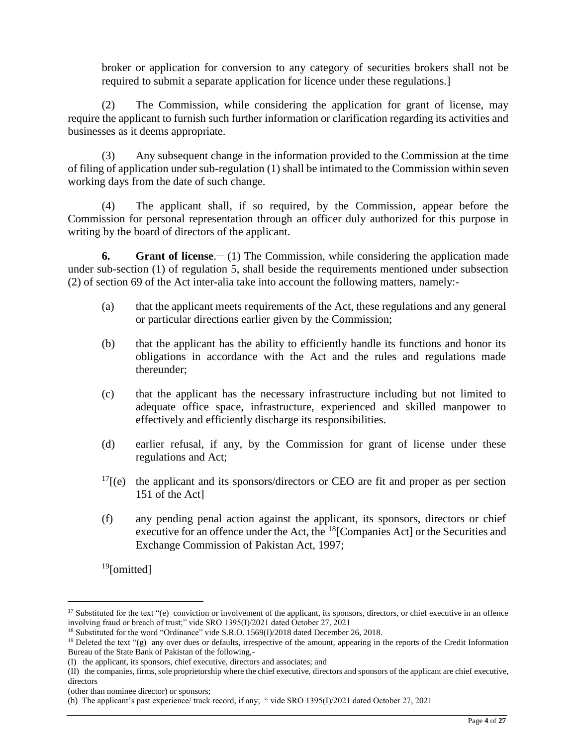broker or application for conversion to any category of securities brokers shall not be required to submit a separate application for licence under these regulations.]

(2) The Commission, while considering the application for grant of license, may require the applicant to furnish such further information or clarification regarding its activities and businesses as it deems appropriate.

(3) Any subsequent change in the information provided to the Commission at the time of filing of application under sub-regulation (1) shall be intimated to the Commission within seven working days from the date of such change.

(4) The applicant shall, if so required, by the Commission, appear before the Commission for personal representation through an officer duly authorized for this purpose in writing by the board of directors of the applicant.

**6.** Grant of license.  $- (1)$  The Commission, while considering the application made under sub-section (1) of regulation 5, shall beside the requirements mentioned under subsection (2) of section 69 of the Act inter-alia take into account the following matters, namely:-

- (a) that the applicant meets requirements of the Act, these regulations and any general or particular directions earlier given by the Commission;
- (b) that the applicant has the ability to efficiently handle its functions and honor its obligations in accordance with the Act and the rules and regulations made thereunder;
- (c) that the applicant has the necessary infrastructure including but not limited to adequate office space, infrastructure, experienced and skilled manpower to effectively and efficiently discharge its responsibilities.
- (d) earlier refusal, if any, by the Commission for grant of license under these regulations and Act;
- $17$ [(e) the applicant and its sponsors/directors or CEO are fit and proper as per section 151 of the Act]
- (f) any pending penal action against the applicant, its sponsors, directors or chief executive for an offence under the Act, the <sup>18</sup>[Companies Act] or the Securities and Exchange Commission of Pakistan Act, 1997;

<sup>19</sup>[omitted]

<sup>&</sup>lt;sup>17</sup> Substituted for the text "(e) conviction or involvement of the applicant, its sponsors, directors, or chief executive in an offence involving fraud or breach of trust;" vide SRO 1395(I)/2021 dated October 27, 2021

<sup>&</sup>lt;sup>18</sup> Substituted for the word "Ordinance" vide S.R.O. 1569(I)/2018 dated December 26, 2018.

<sup>&</sup>lt;sup>19</sup> Deleted the text "(g) any over dues or defaults, irrespective of the amount, appearing in the reports of the Credit Information Bureau of the State Bank of Pakistan of the following,-

<sup>(</sup>I) the applicant, its sponsors, chief executive, directors and associates; and

<sup>(</sup>II) the companies, firms, sole proprietorship where the chief executive, directors and sponsors of the applicant are chief executive, directors

<sup>(</sup>other than nominee director) or sponsors;

<sup>(</sup>h) The applicant's past experience/ track record, if any; " vide SRO 1395(I)/2021 dated October 27, 2021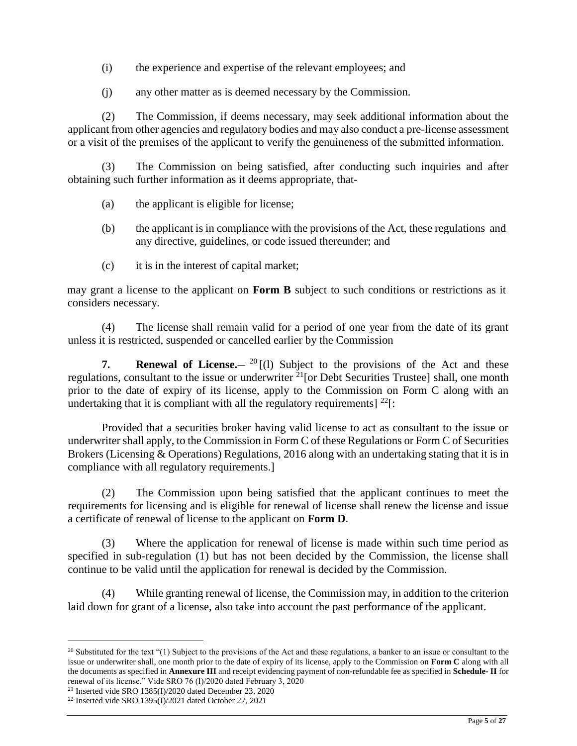- (i) the experience and expertise of the relevant employees; and
- (j) any other matter as is deemed necessary by the Commission.

(2) The Commission, if deems necessary, may seek additional information about the applicant from other agencies and regulatory bodies and may also conduct a pre-license assessment or a visit of the premises of the applicant to verify the genuineness of the submitted information.

(3) The Commission on being satisfied, after conducting such inquiries and after obtaining such further information as it deems appropriate, that-

- (a) the applicant is eligible for license;
- (b) the applicant is in compliance with the provisions of the Act, these regulations and any directive, guidelines, or code issued thereunder; and
- (c) it is in the interest of capital market;

may grant a license to the applicant on **Form B** subject to such conditions or restrictions as it considers necessary.

(4) The license shall remain valid for a period of one year from the date of its grant unless it is restricted, suspended or cancelled earlier by the Commission

**7.** Renewal of License. <sup>20</sup> [(1) Subject to the provisions of the Act and these regulations, consultant to the issue or underwriter <sup>21</sup>[or Debt Securities Trustee] shall, one month prior to the date of expiry of its license, apply to the Commission on Form C along with an undertaking that it is compliant with all the regulatory requirements]  $^{22}$ [:

Provided that a securities broker having valid license to act as consultant to the issue or underwriter shall apply, to the Commission in Form C of these Regulations or Form C of Securities Brokers (Licensing & Operations) Regulations, 2016 along with an undertaking stating that it is in compliance with all regulatory requirements.]

(2) The Commission upon being satisfied that the applicant continues to meet the requirements for licensing and is eligible for renewal of license shall renew the license and issue a certificate of renewal of license to the applicant on **Form D**.

(3) Where the application for renewal of license is made within such time period as specified in sub-regulation (1) but has not been decided by the Commission, the license shall continue to be valid until the application for renewal is decided by the Commission.

(4) While granting renewal of license, the Commission may, in addition to the criterion laid down for grant of a license, also take into account the past performance of the applicant.

<sup>&</sup>lt;sup>20</sup> Substituted for the text "(1) Subject to the provisions of the Act and these regulations, a banker to an issue or consultant to the issue or underwriter shall, one month prior to the date of expiry of its license, apply to the Commission on **Form C** along with all the documents as specified in **Annexure III** and receipt evidencing payment of non-refundable fee as specified in **Schedule- II** for renewal of its license." Vide SRO 76 (I)/2020 dated February 3, 2020

<sup>21</sup> Inserted vide SRO 1385(I)/2020 dated December 23, 2020

<sup>22</sup> Inserted vide SRO 1395(I)/2021 dated October 27, 2021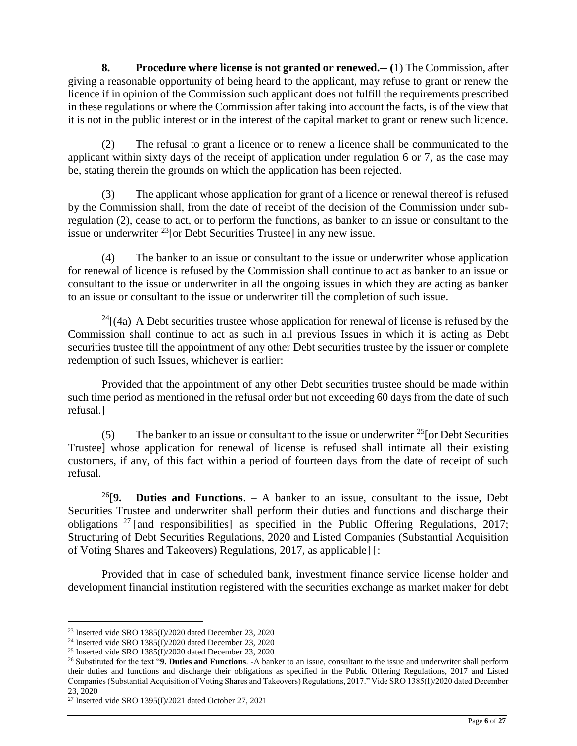**8. Procedure where license is not granted or renewed.\_\_ (**1) The Commission, after giving a reasonable opportunity of being heard to the applicant, may refuse to grant or renew the licence if in opinion of the Commission such applicant does not fulfill the requirements prescribed in these regulations or where the Commission after taking into account the facts, is of the view that it is not in the public interest or in the interest of the capital market to grant or renew such licence.

(2) The refusal to grant a licence or to renew a licence shall be communicated to the applicant within sixty days of the receipt of application under regulation 6 or 7, as the case may be, stating therein the grounds on which the application has been rejected.

(3) The applicant whose application for grant of a licence or renewal thereof is refused by the Commission shall, from the date of receipt of the decision of the Commission under subregulation (2), cease to act, or to perform the functions, as banker to an issue or consultant to the issue or underwriter  $^{23}$  [or Debt Securities Trustee] in any new issue.

(4) The banker to an issue or consultant to the issue or underwriter whose application for renewal of licence is refused by the Commission shall continue to act as banker to an issue or consultant to the issue or underwriter in all the ongoing issues in which they are acting as banker to an issue or consultant to the issue or underwriter till the completion of such issue.

 $24$ [(4a) A Debt securities trustee whose application for renewal of license is refused by the Commission shall continue to act as such in all previous Issues in which it is acting as Debt securities trustee till the appointment of any other Debt securities trustee by the issuer or complete redemption of such Issues, whichever is earlier:

Provided that the appointment of any other Debt securities trustee should be made within such time period as mentioned in the refusal order but not exceeding 60 days from the date of such refusal.]

(5) The banker to an issue or consultant to the issue or underwriter  $^{25}$  [or Debt Securities Trustee] whose application for renewal of license is refused shall intimate all their existing customers, if any, of this fact within a period of fourteen days from the date of receipt of such refusal.

<sup>26</sup>[**9. Duties and Functions**. – A banker to an issue, consultant to the issue, Debt Securities Trustee and underwriter shall perform their duties and functions and discharge their obligations  $27$  [and responsibilities] as specified in the Public Offering Regulations, 2017; Structuring of Debt Securities Regulations, 2020 and Listed Companies (Substantial Acquisition of Voting Shares and Takeovers) Regulations, 2017, as applicable] [:

Provided that in case of scheduled bank, investment finance service license holder and development financial institution registered with the securities exchange as market maker for debt

<sup>23</sup> Inserted vide SRO 1385(I)/2020 dated December 23, 2020

<sup>24</sup> Inserted vide SRO 1385(I)/2020 dated December 23, 2020

<sup>25</sup> Inserted vide SRO 1385(I)/2020 dated December 23, 2020

<sup>26</sup> Substituted for the text "**9. Duties and Functions**. -A banker to an issue, consultant to the issue and underwriter shall perform their duties and functions and discharge their obligations as specified in the Public Offering Regulations, 2017 and Listed Companies (Substantial Acquisition of Voting Shares and Takeovers) Regulations, 2017." Vide SRO 1385(I)/2020 dated December 23, 2020

<sup>27</sup> Inserted vide SRO 1395(I)/2021 dated October 27, 2021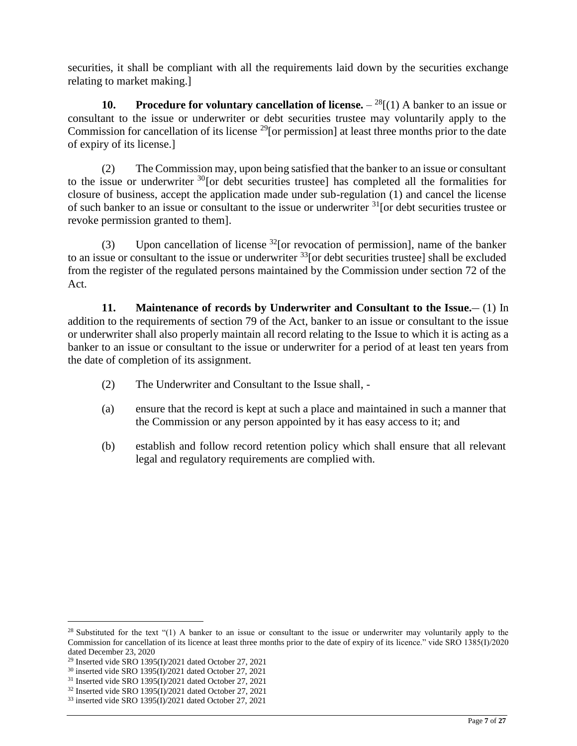securities, it shall be compliant with all the requirements laid down by the securities exchange relating to market making.]

**10. Procedure for voluntary cancellation of license.**  $-{}^{28}$ [(1) A banker to an issue or consultant to the issue or underwriter or debt securities trustee may voluntarily apply to the Commission for cancellation of its license  $^{29}$ [or permission] at least three months prior to the date of expiry of its license.]

(2) The Commission may, upon being satisfied that the banker to an issue or consultant to the issue or underwriter  $30$  [or debt securities trustee] has completed all the formalities for closure of business, accept the application made under sub-regulation (1) and cancel the license of such banker to an issue or consultant to the issue or underwriter  $31$  [or debt securities trustee or revoke permission granted to them].

(3) Upon cancellation of license  $^{32}$ [or revocation of permission], name of the banker to an issue or consultant to the issue or underwriter  $^{33}$  [or debt securities trustee] shall be excluded from the register of the regulated persons maintained by the Commission under section 72 of the Act.

**11.** Maintenance of records by Underwriter and Consultant to the Issue.  $- (1)$  In addition to the requirements of section 79 of the Act, banker to an issue or consultant to the issue or underwriter shall also properly maintain all record relating to the Issue to which it is acting as a banker to an issue or consultant to the issue or underwriter for a period of at least ten years from the date of completion of its assignment.

- (2) The Underwriter and Consultant to the Issue shall, -
- (a) ensure that the record is kept at such a place and maintained in such a manner that the Commission or any person appointed by it has easy access to it; and
- (b) establish and follow record retention policy which shall ensure that all relevant legal and regulatory requirements are complied with.

<sup>&</sup>lt;sup>28</sup> Substituted for the text "(1) A banker to an issue or consultant to the issue or underwriter may voluntarily apply to the Commission for cancellation of its licence at least three months prior to the date of expiry of its licence." vide SRO 1385(I)/2020 dated December 23, 2020

<sup>29</sup> Inserted vide SRO 1395(I)/2021 dated October 27, 2021

<sup>30</sup> inserted vide SRO 1395(I)/2021 dated October 27, 2021

<sup>&</sup>lt;sup>31</sup> Inserted vide SRO 1395(I)/2021 dated October 27, 2021

 $32$  Inserted vide SRO 1395(I)/2021 dated October 27, 2021

<sup>33</sup> inserted vide SRO 1395(I)/2021 dated October 27, 2021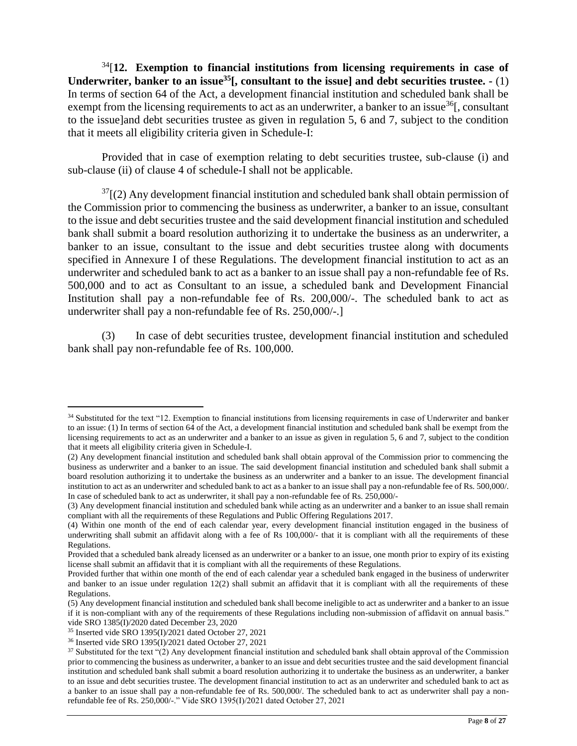<sup>34</sup>[**12. Exemption to financial institutions from licensing requirements in case of Underwriter, banker to an issue<sup>35</sup>[, consultant to the issue] and debt securities trustee. -** (1) In terms of section 64 of the Act, a development financial institution and scheduled bank shall be exempt from the licensing requirements to act as an underwriter, a banker to an issue<sup>36</sup>[, consultant to the issue]and debt securities trustee as given in regulation 5, 6 and 7, subject to the condition that it meets all eligibility criteria given in Schedule-I:

Provided that in case of exemption relating to debt securities trustee, sub-clause (i) and sub-clause (ii) of clause 4 of schedule-I shall not be applicable.

 $37$ [(2) Any development financial institution and scheduled bank shall obtain permission of the Commission prior to commencing the business as underwriter, a banker to an issue, consultant to the issue and debt securities trustee and the said development financial institution and scheduled bank shall submit a board resolution authorizing it to undertake the business as an underwriter, a banker to an issue, consultant to the issue and debt securities trustee along with documents specified in Annexure I of these Regulations. The development financial institution to act as an underwriter and scheduled bank to act as a banker to an issue shall pay a non-refundable fee of Rs. 500,000 and to act as Consultant to an issue, a scheduled bank and Development Financial Institution shall pay a non-refundable fee of Rs. 200,000/-. The scheduled bank to act as underwriter shall pay a non-refundable fee of Rs. 250,000/-.]

(3) In case of debt securities trustee, development financial institution and scheduled bank shall pay non-refundable fee of Rs. 100,000.

<sup>&</sup>lt;sup>34</sup> Substituted for the text "12. Exemption to financial institutions from licensing requirements in case of Underwriter and banker to an issue: (1) In terms of section 64 of the Act, a development financial institution and scheduled bank shall be exempt from the licensing requirements to act as an underwriter and a banker to an issue as given in regulation 5, 6 and 7, subject to the condition that it meets all eligibility criteria given in Schedule-I.

<sup>(2)</sup> Any development financial institution and scheduled bank shall obtain approval of the Commission prior to commencing the business as underwriter and a banker to an issue. The said development financial institution and scheduled bank shall submit a board resolution authorizing it to undertake the business as an underwriter and a banker to an issue. The development financial institution to act as an underwriter and scheduled bank to act as a banker to an issue shall pay a non-refundable fee of Rs. 500,000/. In case of scheduled bank to act as underwriter, it shall pay a non-refundable fee of Rs. 250,000/-

<sup>(3)</sup> Any development financial institution and scheduled bank while acting as an underwriter and a banker to an issue shall remain compliant with all the requirements of these Regulations and Public Offering Regulations 2017.

<sup>(4)</sup> Within one month of the end of each calendar year, every development financial institution engaged in the business of underwriting shall submit an affidavit along with a fee of Rs 100,000/- that it is compliant with all the requirements of these Regulations.

Provided that a scheduled bank already licensed as an underwriter or a banker to an issue, one month prior to expiry of its existing license shall submit an affidavit that it is compliant with all the requirements of these Regulations.

Provided further that within one month of the end of each calendar year a scheduled bank engaged in the business of underwriter and banker to an issue under regulation  $12(2)$  shall submit an affidavit that it is compliant with all the requirements of these Regulations.

<sup>(5)</sup> Any development financial institution and scheduled bank shall become ineligible to act as underwriter and a banker to an issue if it is non-compliant with any of the requirements of these Regulations including non-submission of affidavit on annual basis." vide SRO 1385(I)/2020 dated December 23, 2020

<sup>35</sup> Inserted vide SRO 1395(I)/2021 dated October 27, 2021

<sup>36</sup> Inserted vide SRO 1395(I)/2021 dated October 27, 2021

<sup>&</sup>lt;sup>37</sup> Substituted for the text "(2) Any development financial institution and scheduled bank shall obtain approval of the Commission prior to commencing the business as underwriter, a banker to an issue and debt securities trustee and the said development financial institution and scheduled bank shall submit a board resolution authorizing it to undertake the business as an underwriter, a banker to an issue and debt securities trustee. The development financial institution to act as an underwriter and scheduled bank to act as a banker to an issue shall pay a non-refundable fee of Rs. 500,000/. The scheduled bank to act as underwriter shall pay a nonrefundable fee of Rs. 250,000/-." Vide SRO 1395(I)/2021 dated October 27, 2021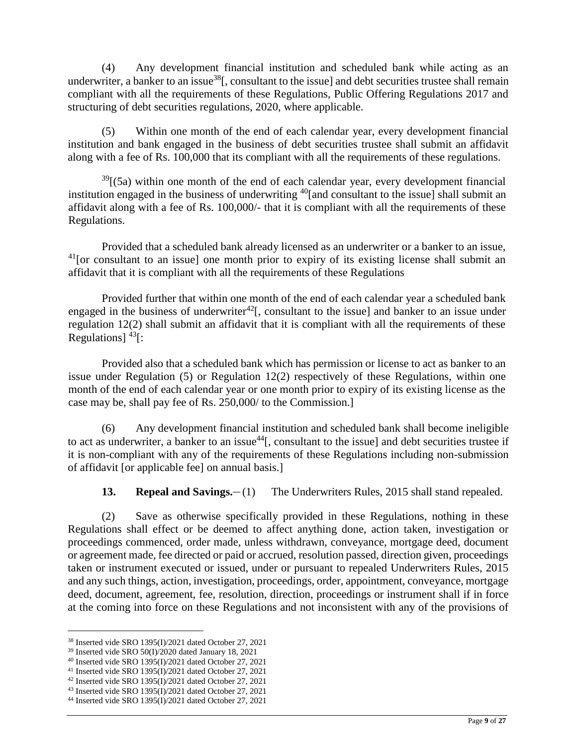(4) Any development financial institution and scheduled bank while acting as an underwriter, a banker to an issue<sup>38</sup>[, consultant to the issue] and debt securities trustee shall remain compliant with all the requirements of these Regulations, Public Offering Regulations 2017 and structuring of debt securities regulations, 2020, where applicable.

(5) Within one month of the end of each calendar year, every development financial institution and bank engaged in the business of debt securities trustee shall submit an affidavit along with a fee of Rs. 100,000 that its compliant with all the requirements of these regulations.

 $39$ [(5a) within one month of the end of each calendar year, every development financial institution engaged in the business of underwriting <sup>40</sup>[and consultant to the issue] shall submit an affidavit along with a fee of Rs. 100,000/- that it is compliant with all the requirements of these Regulations.

Provided that a scheduled bank already licensed as an underwriter or a banker to an issue, <sup>41</sup> [or consultant to an issue] one month prior to expiry of its existing license shall submit an affidavit that it is compliant with all the requirements of these Regulations

Provided further that within one month of the end of each calendar year a scheduled bank engaged in the business of underwriter<sup>42</sup>. Consultant to the issue] and banker to an issue under regulation 12(2) shall submit an affidavit that it is compliant with all the requirements of these Regulations]  $^{43}$ [:

Provided also that a scheduled bank which has permission or license to act as banker to an issue under Regulation (5) or Regulation 12(2) respectively of these Regulations, within one month of the end of each calendar year or one month prior to expiry of its existing license as the case may be, shall pay fee of Rs. 250,000/ to the Commission.]

(6) Any development financial institution and scheduled bank shall become ineligible to act as underwriter, a banker to an issue<sup>44</sup>. consultant to the issue] and debt securities trustee if it is non-compliant with any of the requirements of these Regulations including non-submission of affidavit [or applicable fee] on annual basis.]

**13. Repeal and Savings.** (1) The Underwriters Rules, 2015 shall stand repealed.

(2) Save as otherwise specifically provided in these Regulations, nothing in these Regulations shall effect or be deemed to affect anything done, action taken, investigation or proceedings commenced, order made, unless withdrawn, conveyance, mortgage deed, document or agreement made, fee directed or paid or accrued, resolution passed, direction given, proceedings taken or instrument executed or issued, under or pursuant to repealed Underwriters Rules, 2015 and any such things, action, investigation, proceedings, order, appointment, conveyance, mortgage deed, document, agreement, fee, resolution, direction, proceedings or instrument shall if in force at the coming into force on these Regulations and not inconsistent with any of the provisions of

<sup>38</sup> Inserted vide SRO 1395(I)/2021 dated October 27, 2021

<sup>39</sup> Inserted vide SRO 50(I)/2020 dated January 18, 2021

<sup>40</sup> Inserted vide SRO 1395(I)/2021 dated October 27, 2021

<sup>41</sup> Inserted vide SRO 1395(I)/2021 dated October 27, 2021

<sup>&</sup>lt;sup>42</sup> Inserted vide SRO 1395(I)/2021 dated October 27, 2021

<sup>43</sup> Inserted vide SRO 1395(I)/2021 dated October 27, 2021

<sup>44</sup> Inserted vide SRO 1395(I)/2021 dated October 27, 2021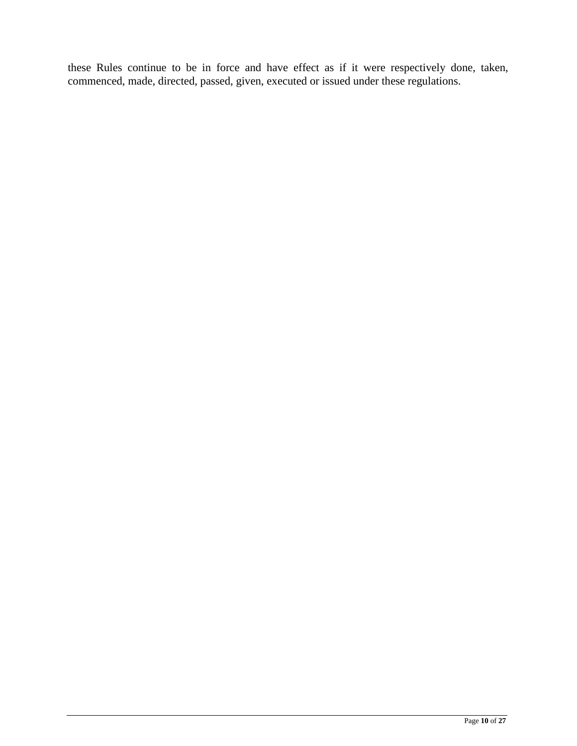these Rules continue to be in force and have effect as if it were respectively done, taken, commenced, made, directed, passed, given, executed or issued under these regulations.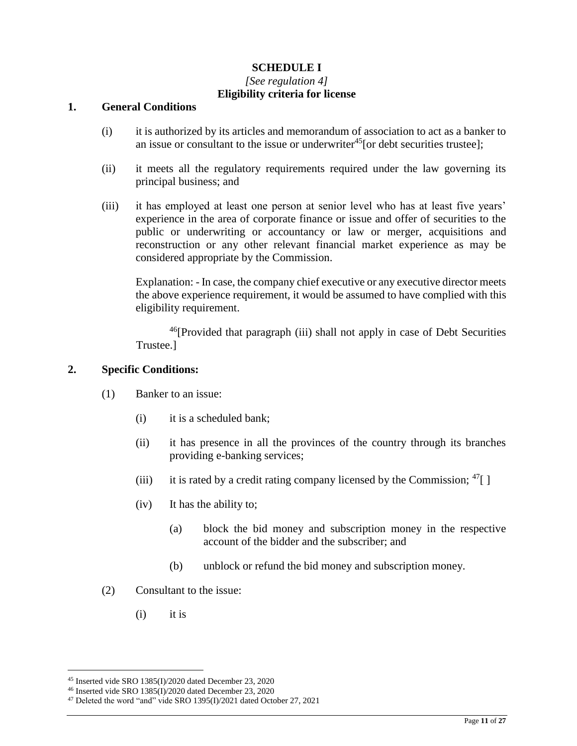### **SCHEDULE I**

#### *[See regulation 4]*  **Eligibility criteria for license**

#### **1. General Conditions**

- (i) it is authorized by its articles and memorandum of association to act as a banker to an issue or consultant to the issue or underwriter<sup>45</sup> [or debt securities trustee];
- (ii) it meets all the regulatory requirements required under the law governing its principal business; and
- (iii) it has employed at least one person at senior level who has at least five years' experience in the area of corporate finance or issue and offer of securities to the public or underwriting or accountancy or law or merger, acquisitions and reconstruction or any other relevant financial market experience as may be considered appropriate by the Commission.

Explanation: - In case, the company chief executive or any executive director meets the above experience requirement, it would be assumed to have complied with this eligibility requirement.

 $46$ [Provided that paragraph (iii) shall not apply in case of Debt Securities Trustee.]

#### **2. Specific Conditions:**

- (1) Banker to an issue:
	- (i) it is a scheduled bank;
	- (ii) it has presence in all the provinces of the country through its branches providing e-banking services;
	- (iii) it is rated by a credit rating company licensed by the Commission;  $47$ [ ]
	- (iv) It has the ability to;
		- (a) block the bid money and subscription money in the respective account of the bidder and the subscriber; and
		- (b) unblock or refund the bid money and subscription money.
- (2) Consultant to the issue:
	- (i) it is

<sup>45</sup> Inserted vide SRO 1385(I)/2020 dated December 23, 2020

<sup>&</sup>lt;sup>46</sup> Inserted vide SRO 1385(I)/2020 dated December 23, 2020

<sup>47</sup> Deleted the word "and" vide SRO 1395(I)/2021 dated October 27, 2021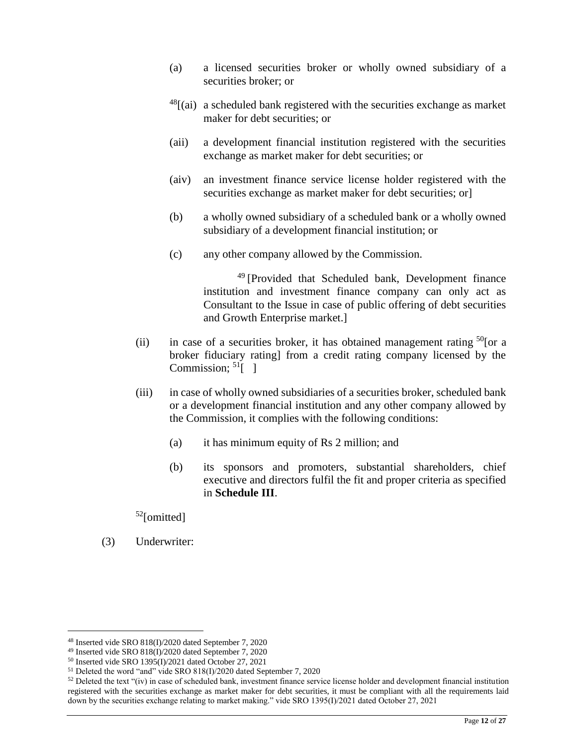- (a) a licensed securities broker or wholly owned subsidiary of a securities broker; or
- $^{48}$ [(ai) a scheduled bank registered with the securities exchange as market maker for debt securities; or
- (aii) a development financial institution registered with the securities exchange as market maker for debt securities; or
- (aiv) an investment finance service license holder registered with the securities exchange as market maker for debt securities; or
- (b) a wholly owned subsidiary of a scheduled bank or a wholly owned subsidiary of a development financial institution; or
- (c) any other company allowed by the Commission.

<sup>49</sup> [Provided that Scheduled bank, Development finance institution and investment finance company can only act as Consultant to the Issue in case of public offering of debt securities and Growth Enterprise market.]

- (ii) in case of a securities broker, it has obtained management rating  $50$  [or a broker fiduciary rating] from a credit rating company licensed by the Commission;  $51$ [ ]
- (iii) in case of wholly owned subsidiaries of a securities broker, scheduled bank or a development financial institution and any other company allowed by the Commission, it complies with the following conditions:
	- (a) it has minimum equity of Rs 2 million; and
	- (b) its sponsors and promoters, substantial shareholders, chief executive and directors fulfil the fit and proper criteria as specified in **Schedule III**.

<sup>52</sup>[omitted]

(3) Underwriter:

<sup>48</sup> Inserted vide SRO 818(I)/2020 dated September 7, 2020

<sup>49</sup> Inserted vide SRO 818(I)/2020 dated September 7, 2020

<sup>50</sup> Inserted vide SRO 1395(I)/2021 dated October 27, 2021

<sup>51</sup> Deleted the word "and" vide SRO 818(I)/2020 dated September 7, 2020

 $52$  Deleted the text "(iv) in case of scheduled bank, investment finance service license holder and development financial institution registered with the securities exchange as market maker for debt securities, it must be compliant with all the requirements laid down by the securities exchange relating to market making." vide SRO 1395(I)/2021 dated October 27, 2021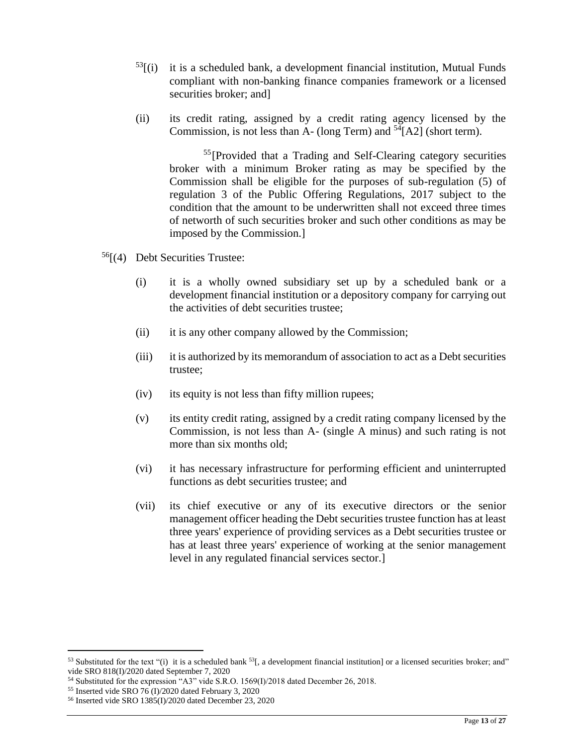- $^{53}$ [(i) it is a scheduled bank, a development financial institution, Mutual Funds compliant with non-banking finance companies framework or a licensed securities broker; and]
- (ii) its credit rating, assigned by a credit rating agency licensed by the Commission, is not less than A- (long Term) and  $54$ [A2] (short term).

<sup>55</sup>[Provided that a Trading and Self-Clearing category securities broker with a minimum Broker rating as may be specified by the Commission shall be eligible for the purposes of sub-regulation (5) of regulation 3 of the Public Offering Regulations, 2017 subject to the condition that the amount to be underwritten shall not exceed three times of networth of such securities broker and such other conditions as may be imposed by the Commission.]

- $56$ [(4) Debt Securities Trustee:
	- (i) it is a wholly owned subsidiary set up by a scheduled bank or a development financial institution or a depository company for carrying out the activities of debt securities trustee;
	- (ii) it is any other company allowed by the Commission;
	- (iii) it is authorized by its memorandum of association to act as a Debt securities trustee;
	- (iv) its equity is not less than fifty million rupees;
	- (v) its entity credit rating, assigned by a credit rating company licensed by the Commission, is not less than A- (single A minus) and such rating is not more than six months old;
	- (vi) it has necessary infrastructure for performing efficient and uninterrupted functions as debt securities trustee; and
	- (vii) its chief executive or any of its executive directors or the senior management officer heading the Debt securities trustee function has at least three years' experience of providing services as a Debt securities trustee or has at least three years' experience of working at the senior management level in any regulated financial services sector.]

<sup>&</sup>lt;sup>53</sup> Substituted for the text "(i) it is a scheduled bank  $^{53}$ , a development financial institution] or a licensed securities broker; and" vide SRO 818(I)/2020 dated September 7, 2020

<sup>54</sup> Substituted for the expression "A3" vide S.R.O. 1569(I)/2018 dated December 26, 2018.

<sup>&</sup>lt;sup>55</sup> Inserted vide SRO  $76$  (I)/2020 dated February 3, 2020

<sup>56</sup> Inserted vide SRO 1385(I)/2020 dated December 23, 2020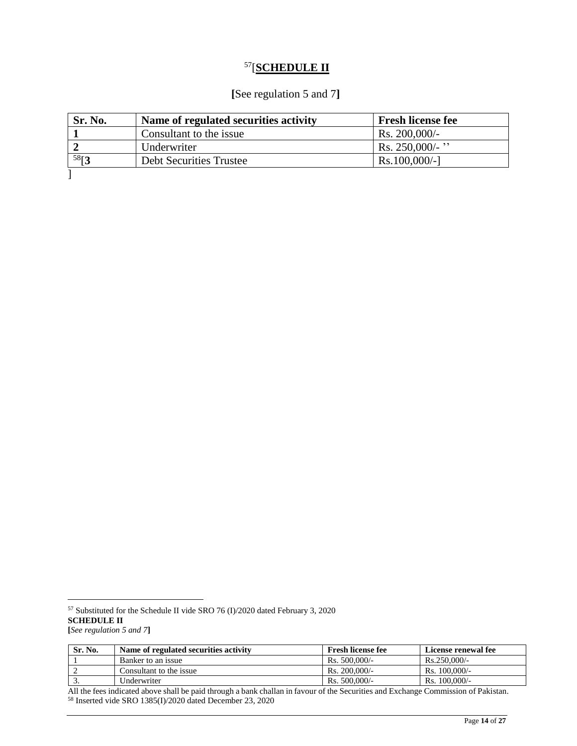# <sup>57</sup>[**SCHEDULE II**

# **[**See regulation 5 and 7**]**

| Sr. No. | Name of regulated securities activity | <b>Fresh license fee</b> |
|---------|---------------------------------------|--------------------------|
|         | Consultant to the issue               | Rs. $200,000/-$          |
|         | Underwriter                           | Rs. $250,000/$ - "       |
| 58[3    | <b>Debt Securities Trustee</b>        | $Rs.100,000/-$ ]         |
|         |                                       |                          |

 $\overline{a}$ 

| Sr. No.    | Name of regulated securities activity | <b>Fresh license fee</b> | License renewal fee |
|------------|---------------------------------------|--------------------------|---------------------|
|            | Banker to an issue                    | $\text{Rs.}500.000/-$    | $Rs.250.000/-$      |
|            | Consultant to the issue               | $\text{Rs. } 200.000/-$  | $Rs. 100,000/-$     |
| . <u>.</u> | Underwriter                           | $R_s$ , 500,000/-        | $Rs. 100,000/-$     |

All the fees indicated above shall be paid through a bank challan in favour of the Securities and Exchange Commission of Pakistan. <sup>58</sup> Inserted vide SRO 1385(I)/2020 dated December 23, 2020

<sup>57</sup> Substituted for the Schedule II vide SRO 76 (I)/2020 dated February 3, 2020 **SCHEDULE II [***See regulation 5 and 7***]**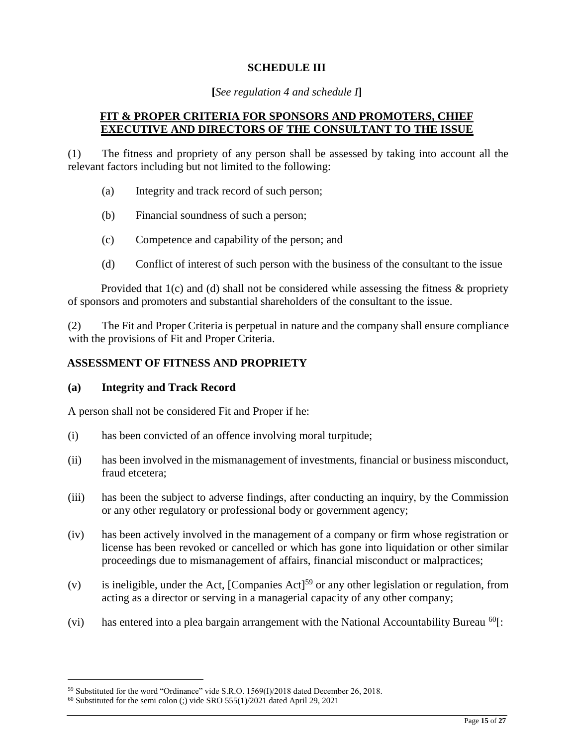### **SCHEDULE III**

#### **[***See regulation 4 and schedule I***]**

### **FIT & PROPER CRITERIA FOR SPONSORS AND PROMOTERS, CHIEF EXECUTIVE AND DIRECTORS OF THE CONSULTANT TO THE ISSUE**

(1) The fitness and propriety of any person shall be assessed by taking into account all the relevant factors including but not limited to the following:

- (a) Integrity and track record of such person;
- (b) Financial soundness of such a person;
- (c) Competence and capability of the person; and
- (d) Conflict of interest of such person with the business of the consultant to the issue

Provided that  $1(c)$  and (d) shall not be considered while assessing the fitness & propriety of sponsors and promoters and substantial shareholders of the consultant to the issue.

(2) The Fit and Proper Criteria is perpetual in nature and the company shall ensure compliance with the provisions of Fit and Proper Criteria.

### **ASSESSMENT OF FITNESS AND PROPRIETY**

#### **(a) Integrity and Track Record**

A person shall not be considered Fit and Proper if he:

- (i) has been convicted of an offence involving moral turpitude;
- (ii) has been involved in the mismanagement of investments, financial or business misconduct, fraud etcetera;
- (iii) has been the subject to adverse findings, after conducting an inquiry, by the Commission or any other regulatory or professional body or government agency;
- (iv) has been actively involved in the management of a company or firm whose registration or license has been revoked or cancelled or which has gone into liquidation or other similar proceedings due to mismanagement of affairs, financial misconduct or malpractices;
- (v) is ineligible, under the Act,  $[Comparies Act]<sup>59</sup>$  or any other legislation or regulation, from acting as a director or serving in a managerial capacity of any other company;
- (vi) has entered into a plea bargain arrangement with the National Accountability Bureau  ${}^{60}$ [:

<sup>59</sup> Substituted for the word "Ordinance" vide S.R.O. 1569(I)/2018 dated December 26, 2018.

 $60$  Substituted for the semi colon (;) vide SRO 555(1)/2021 dated April 29, 2021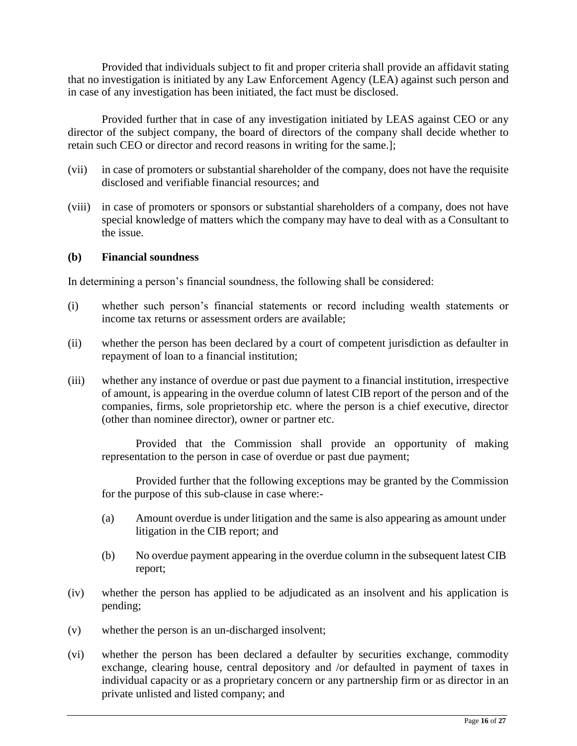Provided that individuals subject to fit and proper criteria shall provide an affidavit stating that no investigation is initiated by any Law Enforcement Agency (LEA) against such person and in case of any investigation has been initiated, the fact must be disclosed.

Provided further that in case of any investigation initiated by LEAS against CEO or any director of the subject company, the board of directors of the company shall decide whether to retain such CEO or director and record reasons in writing for the same.];

- (vii) in case of promoters or substantial shareholder of the company, does not have the requisite disclosed and verifiable financial resources; and
- (viii) in case of promoters or sponsors or substantial shareholders of a company, does not have special knowledge of matters which the company may have to deal with as a Consultant to the issue.

### **(b) Financial soundness**

In determining a person's financial soundness, the following shall be considered:

- (i) whether such person's financial statements or record including wealth statements or income tax returns or assessment orders are available;
- (ii) whether the person has been declared by a court of competent jurisdiction as defaulter in repayment of loan to a financial institution;
- (iii) whether any instance of overdue or past due payment to a financial institution, irrespective of amount, is appearing in the overdue column of latest CIB report of the person and of the companies, firms, sole proprietorship etc. where the person is a chief executive, director (other than nominee director), owner or partner etc.

Provided that the Commission shall provide an opportunity of making representation to the person in case of overdue or past due payment;

Provided further that the following exceptions may be granted by the Commission for the purpose of this sub-clause in case where:-

- (a) Amount overdue is under litigation and the same is also appearing as amount under litigation in the CIB report; and
- (b) No overdue payment appearing in the overdue column in the subsequent latest CIB report;
- (iv) whether the person has applied to be adjudicated as an insolvent and his application is pending;
- (v) whether the person is an un-discharged insolvent;
- (vi) whether the person has been declared a defaulter by securities exchange, commodity exchange, clearing house, central depository and /or defaulted in payment of taxes in individual capacity or as a proprietary concern or any partnership firm or as director in an private unlisted and listed company; and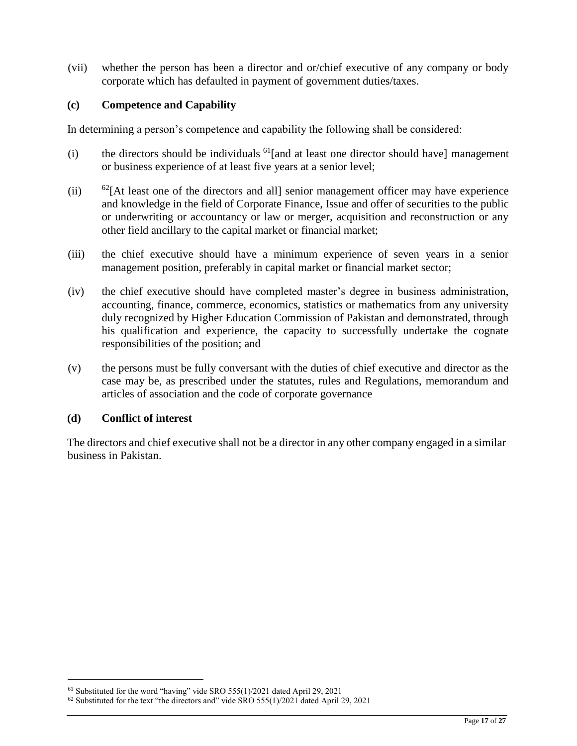(vii) whether the person has been a director and or/chief executive of any company or body corporate which has defaulted in payment of government duties/taxes.

### **(c) Competence and Capability**

In determining a person's competence and capability the following shall be considered:

- (i) the directors should be individuals  $<sup>61</sup>[$  and at least one director should have] management</sup> or business experience of at least five years at a senior level;
- (ii)  $62$  [At least one of the directors and all] senior management officer may have experience and knowledge in the field of Corporate Finance, Issue and offer of securities to the public or underwriting or accountancy or law or merger, acquisition and reconstruction or any other field ancillary to the capital market or financial market;
- (iii) the chief executive should have a minimum experience of seven years in a senior management position, preferably in capital market or financial market sector;
- (iv) the chief executive should have completed master's degree in business administration, accounting, finance, commerce, economics, statistics or mathematics from any university duly recognized by Higher Education Commission of Pakistan and demonstrated, through his qualification and experience, the capacity to successfully undertake the cognate responsibilities of the position; and
- (v) the persons must be fully conversant with the duties of chief executive and director as the case may be, as prescribed under the statutes, rules and Regulations, memorandum and articles of association and the code of corporate governance

#### **(d) Conflict of interest**

 $\overline{a}$ 

The directors and chief executive shall not be a director in any other company engaged in a similar business in Pakistan.

<sup>61</sup> Substituted for the word "having" vide SRO 555(1)/2021 dated April 29, 2021

 $62$  Substituted for the text "the directors and" vide SRO 555(1)/2021 dated April 29, 2021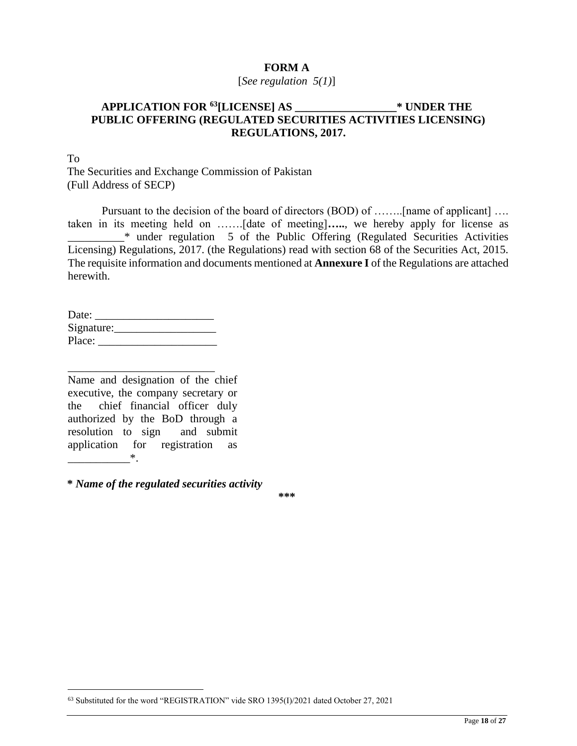### **FORM A**

#### [*See regulation 5(1)*]

### **APPLICATION FOR <sup>63</sup>[LICENSE] AS \_\_\_\_\_\_\_\_\_\_\_\_\_\_\_\_\_\_\* UNDER THE PUBLIC OFFERING (REGULATED SECURITIES ACTIVITIES LICENSING) REGULATIONS, 2017.**

To

 $\overline{a}$ 

The Securities and Exchange Commission of Pakistan (Full Address of SECP)

Pursuant to the decision of the board of directors (BOD) of ……..[name of applicant] …. taken in its meeting held on …….[date of meeting]**…..**, we hereby apply for license as \_\_\_\_\_\_\_\_\_\_\* under regulation 5 of the Public Offering (Regulated Securities Activities Licensing) Regulations, 2017. (the Regulations) read with section 68 of the Securities Act, 2015. The requisite information and documents mentioned at **Annexure I** of the Regulations are attached herewith.

| Date:      |  |
|------------|--|
| Signature: |  |
| Place:     |  |

\_\_\_\_\_\_\_\_\_\_\_\_\_\_\_\_\_\_\_\_\_\_\_\_\_\_

Name and designation of the chief executive, the company secretary or the chief financial officer duly authorized by the BoD through a resolution to sign and submit application for registration as  $*$ .

**\*** *Name of the regulated securities activity* 

**\*\*\*** 

<sup>63</sup> Substituted for the word "REGISTRATION" vide SRO 1395(I)/2021 dated October 27, 2021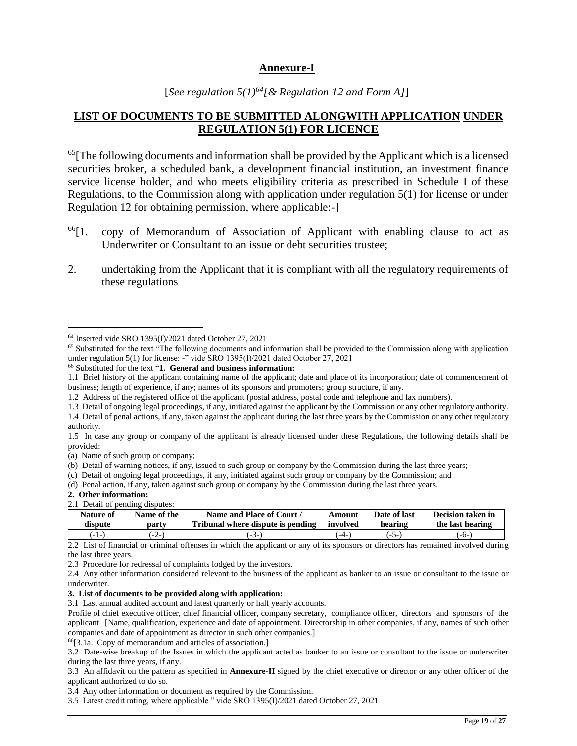#### **Annexure-I**

### [*See regulation 5(1)<sup>64</sup>[& Regulation 12 and Form A]*]

### **LIST OF DOCUMENTS TO BE SUBMITTED ALONGWITH APPLICATION UNDER REGULATION 5(1) FOR LICENCE**

 $<sup>65</sup>$ [The following documents and information shall be provided by the Applicant which is a licensed</sup> securities broker, a scheduled bank, a development financial institution, an investment finance service license holder, and who meets eligibility criteria as prescribed in Schedule I of these Regulations, to the Commission along with application under regulation 5(1) for license or under Regulation 12 for obtaining permission, where applicable:-]

- $^{66}$ [1. copy of Memorandum of Association of Applicant with enabling clause to act as Underwriter or Consultant to an issue or debt securities trustee;
- 2. undertaking from the Applicant that it is compliant with all the regulatory requirements of these regulations

(c) Detail of ongoing legal proceedings, if any, initiated against such group or company by the Commission; and

 $\overline{a}$ 

|  | 2.1 Detail of pending disputes:                                                |  |
|--|--------------------------------------------------------------------------------|--|
|  | $\blacksquare$ Methods of $\blacksquare$ Methods of Methods and $\blacksquare$ |  |

| <b>Nature of</b> | Name of the | Name and Place of Court /         | Amount   | Date of last | Decision taken in |  |
|------------------|-------------|-----------------------------------|----------|--------------|-------------------|--|
| dispute          | partv       | Tribunal where dispute is pending | involved | hearing      | the last hearing  |  |
| (-1-             | $-2-$       | $-3-1$                            | $-4-$    | $-5-$        | -6-1              |  |

2.2 List of financial or criminal offenses in which the applicant or any of its sponsors or directors has remained involved during the last three years.

2.3 Procedure for redressal of complaints lodged by the investors.

3.1 Last annual audited account and latest quarterly or half yearly accounts.

Profile of chief executive officer, chief financial officer, company secretary, compliance officer, directors and sponsors of the applicant [Name, qualification, experience and date of appointment. Directorship in other companies, if any, names of such other companies and date of appointment as director in such other companies.]

<sup>66</sup>[3.1a. Copy of memorandum and articles of association.]

3.2 Date-wise breakup of the Issues in which the applicant acted as banker to an issue or consultant to the issue or underwriter during the last three years, if any.

3.3 An affidavit on the pattern as specified in **Annexure-II** signed by the chief executive or director or any other officer of the applicant authorized to do so.

3.4 Any other information or document as required by the Commission.

3.5 Latest credit rating, where applicable " vide SRO 1395(I)/2021 dated October 27, 2021

<sup>64</sup> Inserted vide SRO 1395(I)/2021 dated October 27, 2021

<sup>65</sup> Substituted for the text "The following documents and information shall be provided to the Commission along with application under regulation 5(1) for license: -" vide SRO 1395(I)/2021 dated October 27, 2021

<sup>66</sup> Substituted for the text "**1. General and business information:** 

<sup>1.1</sup> Brief history of the applicant containing name of the applicant; date and place of its incorporation; date of commencement of business; length of experience, if any; names of its sponsors and promoters; group structure, if any.

<sup>1.2</sup> Address of the registered office of the applicant (postal address, postal code and telephone and fax numbers).

<sup>1.3</sup> Detail of ongoing legal proceedings, if any, initiated against the applicant by the Commission or any other regulatory authority.

<sup>1.4</sup> Detail of penal actions, if any, taken against the applicant during the last three years by the Commission or any other regulatory authority.

<sup>1.5</sup> In case any group or company of the applicant is already licensed under these Regulations, the following details shall be provided:

<sup>(</sup>a) Name of such group or company;

<sup>(</sup>b) Detail of warning notices, if any, issued to such group or company by the Commission during the last three years;

<sup>(</sup>d) Penal action, if any, taken against such group or company by the Commission during the last three years.

**<sup>2.</sup> Other information:**

<sup>2.4</sup> Any other information considered relevant to the business of the applicant as banker to an issue or consultant to the issue or underwriter.

**<sup>3.</sup> List of documents to be provided along with application:**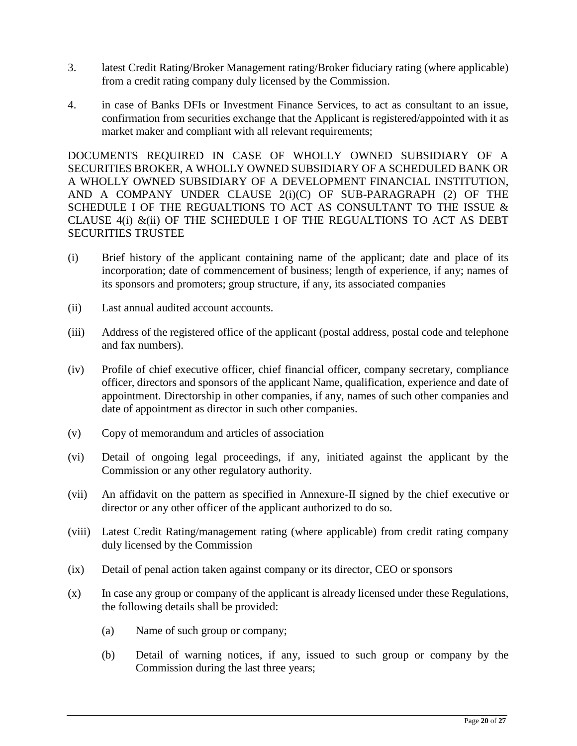- 3. latest Credit Rating/Broker Management rating/Broker fiduciary rating (where applicable) from a credit rating company duly licensed by the Commission.
- 4. in case of Banks DFIs or Investment Finance Services, to act as consultant to an issue, confirmation from securities exchange that the Applicant is registered/appointed with it as market maker and compliant with all relevant requirements;

DOCUMENTS REQUIRED IN CASE OF WHOLLY OWNED SUBSIDIARY OF A SECURITIES BROKER, A WHOLLY OWNED SUBSIDIARY OF A SCHEDULED BANK OR A WHOLLY OWNED SUBSIDIARY OF A DEVELOPMENT FINANCIAL INSTITUTION, AND A COMPANY UNDER CLAUSE 2(i)(C) OF SUB-PARAGRAPH (2) OF THE SCHEDULE I OF THE REGUALTIONS TO ACT AS CONSULTANT TO THE ISSUE & CLAUSE  $4(i)$  & $(ii)$  OF THE SCHEDULE I OF THE REGUALTIONS TO ACT AS DEBT SECURITIES TRUSTEE

- (i) Brief history of the applicant containing name of the applicant; date and place of its incorporation; date of commencement of business; length of experience, if any; names of its sponsors and promoters; group structure, if any, its associated companies
- (ii) Last annual audited account accounts.
- (iii) Address of the registered office of the applicant (postal address, postal code and telephone and fax numbers).
- (iv) Profile of chief executive officer, chief financial officer, company secretary, compliance officer, directors and sponsors of the applicant Name, qualification, experience and date of appointment. Directorship in other companies, if any, names of such other companies and date of appointment as director in such other companies.
- (v) Copy of memorandum and articles of association
- (vi) Detail of ongoing legal proceedings, if any, initiated against the applicant by the Commission or any other regulatory authority.
- (vii) An affidavit on the pattern as specified in Annexure-II signed by the chief executive or director or any other officer of the applicant authorized to do so.
- (viii) Latest Credit Rating/management rating (where applicable) from credit rating company duly licensed by the Commission
- (ix) Detail of penal action taken against company or its director, CEO or sponsors
- (x) In case any group or company of the applicant is already licensed under these Regulations, the following details shall be provided:
	- (a) Name of such group or company;
	- (b) Detail of warning notices, if any, issued to such group or company by the Commission during the last three years;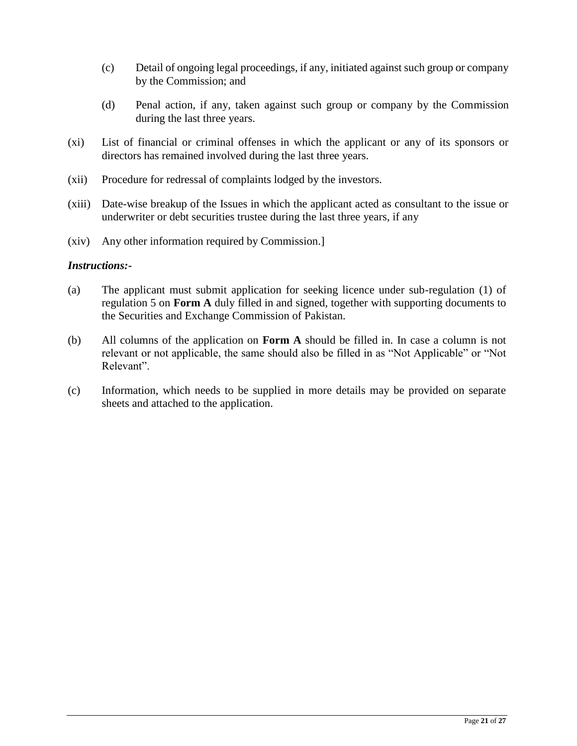- (c) Detail of ongoing legal proceedings, if any, initiated against such group or company by the Commission; and
- (d) Penal action, if any, taken against such group or company by the Commission during the last three years.
- (xi) List of financial or criminal offenses in which the applicant or any of its sponsors or directors has remained involved during the last three years.
- (xii) Procedure for redressal of complaints lodged by the investors.
- (xiii) Date-wise breakup of the Issues in which the applicant acted as consultant to the issue or underwriter or debt securities trustee during the last three years, if any
- (xiv) Any other information required by Commission.]

#### *Instructions:-*

- (a) The applicant must submit application for seeking licence under sub-regulation (1) of regulation 5 on **Form A** duly filled in and signed, together with supporting documents to the Securities and Exchange Commission of Pakistan.
- (b) All columns of the application on **Form A** should be filled in. In case a column is not relevant or not applicable, the same should also be filled in as "Not Applicable" or "Not Relevant".
- (c) Information, which needs to be supplied in more details may be provided on separate sheets and attached to the application.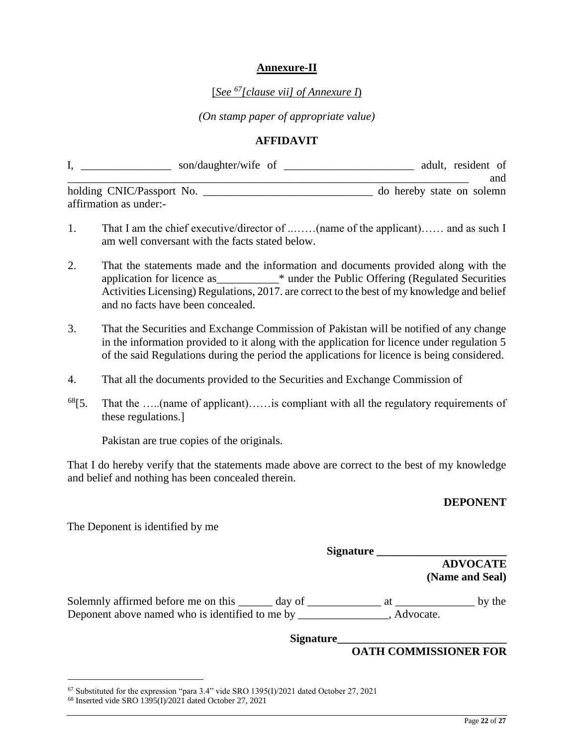### **Annexure-II**

### [*See <sup>67</sup>[clause vii] of Annexure I*)

*(On stamp paper of appropriate value)*

#### **AFFIDAVIT**

|                           | son/daughter/wife of |  | adult, resident of        |
|---------------------------|----------------------|--|---------------------------|
|                           |                      |  | and                       |
| holding CNIC/Passport No. |                      |  | do hereby state on solemn |
| affirmation as under:-    |                      |  |                           |

- 1. That I am the chief executive/director of ..……(name of the applicant)…… and as such I am well conversant with the facts stated below.
- 2. That the statements made and the information and documents provided along with the application for licence as\_\_\_\_\_\_\_\_\_\_\_\* under the Public Offering (Regulated Securities Activities Licensing) Regulations, 2017. are correct to the best of my knowledge and belief and no facts have been concealed.
- 3. That the Securities and Exchange Commission of Pakistan will be notified of any change in the information provided to it along with the application for licence under regulation 5 of the said Regulations during the period the applications for licence is being considered.
- 4. That all the documents provided to the Securities and Exchange Commission of
- $68$ [5. That the .....(name of applicant)..... is compliant with all the regulatory requirements of these regulations.]

Pakistan are true copies of the originals.

That I do hereby verify that the statements made above are correct to the best of my knowledge and belief and nothing has been concealed therein.

#### **DEPONENT**

The Deponent is identified by me

| <b>Signature</b> |                 |
|------------------|-----------------|
|                  | <b>ADVOCATE</b> |
|                  | (Name and Seal) |
|                  |                 |

Solemnly affirmed before me on this \_\_\_\_\_\_ day of \_\_\_\_\_\_\_\_\_\_\_\_\_\_\_ at \_\_\_\_\_\_\_\_\_\_\_\_\_\_\_ by the Deponent above named who is identified to me by \_\_\_\_\_\_\_\_\_\_\_\_\_\_, Advocate.

**Signature\_\_\_\_\_\_\_\_\_\_\_\_\_\_\_\_\_\_\_\_\_\_\_\_\_\_\_\_\_\_** 

#### **OATH COMMISSIONER FOR**

<sup>67</sup> Substituted for the expression "para 3.4" vide SRO 1395(I)/2021 dated October 27, 2021

 $68$  Inserted vide SRO 1395(I)/2021 dated October 27, 2021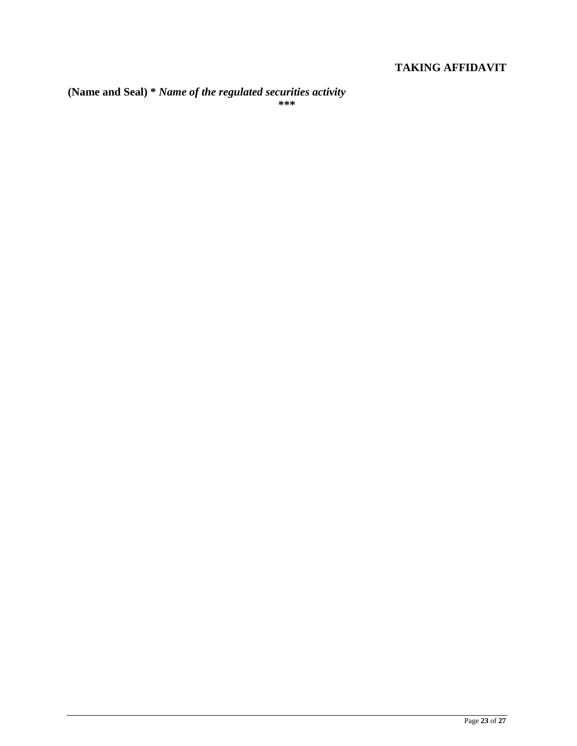# **TAKING AFFIDAVIT**

**(Name and Seal) \*** *Name of the regulated securities activity*  **\*\*\***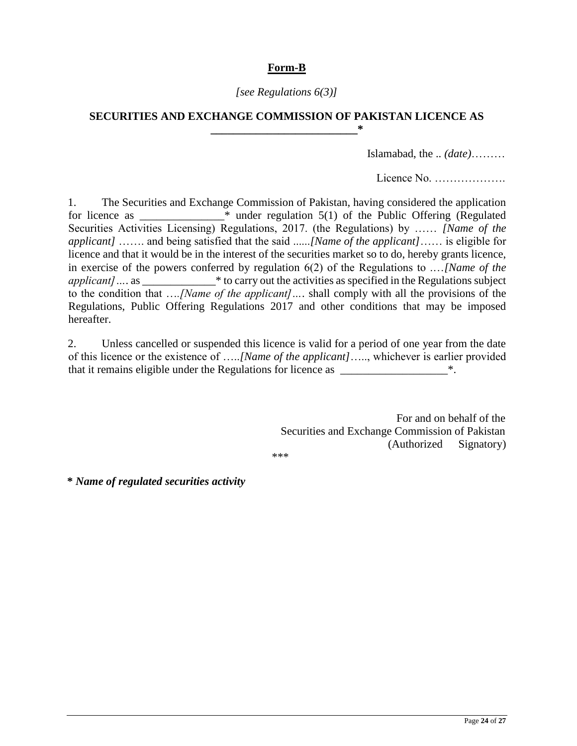# **Form-B**

### *[see Regulations 6(3)]*

### **SECURITIES AND EXCHANGE COMMISSION OF PAKISTAN LICENCE AS \_\_\_\_\_\_\_\_\_\_\_\_\_\_\_\_\_\_\_\_\_\_\_\_\_\_\***

Islamabad, the .. *(date)*………

Licence No. ……………….

1. The Securities and Exchange Commission of Pakistan, having considered the application for licence as  $*$  under regulation  $5(1)$  of the Public Offering (Regulated Securities Activities Licensing) Regulations, 2017. (the Regulations) by …… *[Name of the applicant]* ……. and being satisfied that the said ......*[Name of the applicant]*…… is eligible for licence and that it would be in the interest of the securities market so to do, hereby grants licence, in exercise of the powers conferred by regulation 6(2) of the Regulations to .…*[Name of the applicant*] … as \* to carry out the activities as specified in the Regulations subject to the condition that …*.[Name of the applicant]…*. shall comply with all the provisions of the Regulations, Public Offering Regulations 2017 and other conditions that may be imposed hereafter.

2. Unless cancelled or suspended this licence is valid for a period of one year from the date of this licence or the existence of …..*[Name of the applicant]*….., whichever is earlier provided that it remains eligible under the Regulations for licence as \_\_\_\_\_\_\_\_\_\_\_\_\_\_\_\_\_\_\_

> For and on behalf of the Securities and Exchange Commission of Pakistan (Authorized Signatory)

\*\*\*

**\*** *Name of regulated securities activity*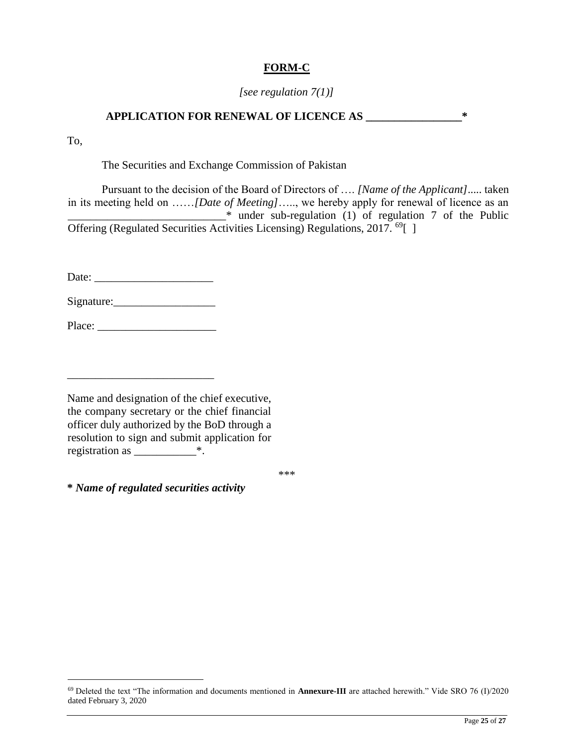# **FORM-C**

### *[see regulation 7(1)]*

# **APPLICATION FOR RENEWAL OF LICENCE AS \_\_\_\_\_\_\_\_\_\_\_\_\_\_\_\_\_\***

To,

 $\overline{a}$ 

The Securities and Exchange Commission of Pakistan

Pursuant to the decision of the Board of Directors of …. *[Name of the Applicant]*..... taken in its meeting held on ……*[Date of Meeting]*….., we hereby apply for renewal of licence as an \_\_\_\_\_\_\_\_\_\_\_\_\_\_\_\_\_\_\_\_\_\_\_\_\_\_\_\_\* under sub-regulation (1) of regulation 7 of the Public Offering (Regulated Securities Activities Licensing) Regulations, 2017. <sup>69</sup>[ ]

Date: \_\_\_\_\_\_\_\_\_\_\_\_\_\_\_\_\_\_\_\_\_

Signature:\_\_\_\_\_\_\_\_\_\_\_\_\_\_\_\_\_\_

Place: \_\_\_\_\_\_\_\_\_\_\_\_\_\_\_\_\_\_\_\_\_

\_\_\_\_\_\_\_\_\_\_\_\_\_\_\_\_\_\_\_\_\_\_\_\_\_\_

Name and designation of the chief executive, the company secretary or the chief financial officer duly authorized by the BoD through a resolution to sign and submit application for registration as \_\_\_\_\_\_\_\_\_\_\_\*.

\*\*\*

**\*** *Name of regulated securities activity* 

<sup>69</sup> Deleted the text "The information and documents mentioned in **Annexure-III** are attached herewith." Vide SRO 76 (I)/2020 dated February 3, 2020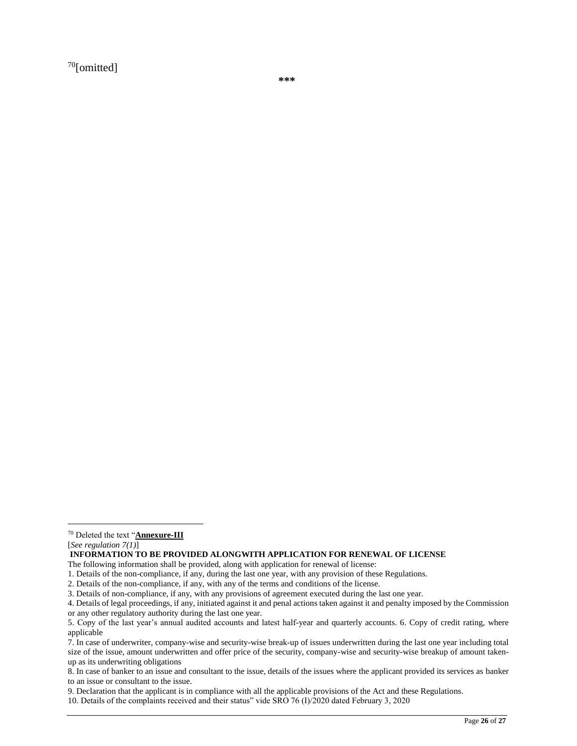$70$ [omitted]

**\*\*\*** 

[*See regulation 7(1)*]

 $\overline{a}$ 

**INFORMATION TO BE PROVIDED ALONGWITH APPLICATION FOR RENEWAL OF LICENSE** 

The following information shall be provided, along with application for renewal of license:

9. Declaration that the applicant is in compliance with all the applicable provisions of the Act and these Regulations.

<sup>70</sup> Deleted the text "**Annexure-III**

<sup>1.</sup> Details of the non-compliance, if any, during the last one year, with any provision of these Regulations.

<sup>2.</sup> Details of the non-compliance, if any, with any of the terms and conditions of the license.

<sup>3.</sup> Details of non-compliance, if any, with any provisions of agreement executed during the last one year.

<sup>4.</sup> Details of legal proceedings, if any, initiated against it and penal actions taken against it and penalty imposed by the Commission or any other regulatory authority during the last one year.

<sup>5.</sup> Copy of the last year's annual audited accounts and latest half-year and quarterly accounts. 6. Copy of credit rating, where applicable

<sup>7.</sup> In case of underwriter, company-wise and security-wise break-up of issues underwritten during the last one year including total size of the issue, amount underwritten and offer price of the security, company-wise and security-wise breakup of amount takenup as its underwriting obligations

<sup>8.</sup> In case of banker to an issue and consultant to the issue, details of the issues where the applicant provided its services as banker to an issue or consultant to the issue.

<sup>10.</sup> Details of the complaints received and their status" vide SRO 76 (I)/2020 dated February 3, 2020